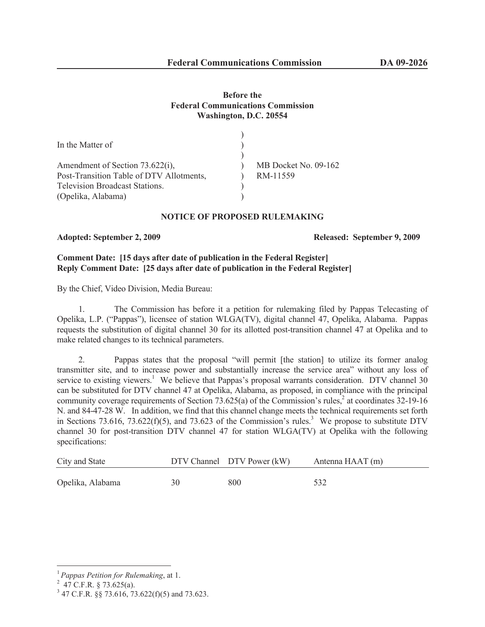# **Before the Federal Communications Commission Washington, D.C. 20554**

| In the Matter of                         |                      |
|------------------------------------------|----------------------|
|                                          |                      |
| Amendment of Section 73.622(i),          | MB Docket No. 09-162 |
| Post-Transition Table of DTV Allotments, | RM-11559             |
| <b>Television Broadcast Stations.</b>    |                      |
| (Opelika, Alabama)                       |                      |

### **NOTICE OF PROPOSED RULEMAKING**

### **Adopted: September 2, 2009 Released: September 9, 2009**

# **Comment Date: [15 days after date of publication in the Federal Register] Reply Comment Date: [25 days after date of publication in the Federal Register]**

By the Chief, Video Division, Media Bureau:

1. The Commission has before it a petition for rulemaking filed by Pappas Telecasting of Opelika, L.P. ("Pappas"), licensee of station WLGA(TV), digital channel 47, Opelika, Alabama. Pappas requests the substitution of digital channel 30 for its allotted post-transition channel 47 at Opelika and to make related changes to its technical parameters.

2. Pappas states that the proposal "will permit [the station] to utilize its former analog transmitter site, and to increase power and substantially increase the service area" without any loss of service to existing viewers.<sup>1</sup> We believe that Pappas's proposal warrants consideration. DTV channel 30 can be substituted for DTV channel 47 at Opelika, Alabama, as proposed, in compliance with the principal community coverage requirements of Section 73.625(a) of the Commission's rules,  $\frac{2}{3}$  at coordinates 32-19-16 N. and 84-47-28 W. In addition, we find that this channel change meets the technical requirements set forth in Sections 73.616, 73.622(f)(5), and 73.623 of the Commission's rules.<sup>3</sup> We propose to substitute DTV channel 30 for post-transition DTV channel 47 for station WLGA(TV) at Opelika with the following specifications:

| City and State   |    | DTV Channel DTV Power (kW) | Antenna HAAT (m) |
|------------------|----|----------------------------|------------------|
| Opelika, Alabama | 30 | 800                        | 532              |

<sup>1</sup> *Pappas Petition for Rulemaking*, at 1.

 $^{2}$  47 C.F.R. § 73.625(a).

<sup>3</sup> 47 C.F.R. §§ 73.616, 73.622(f)(5) and 73.623.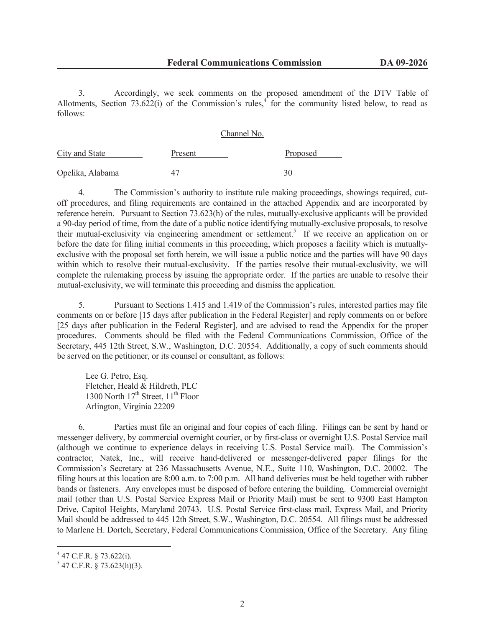3. Accordingly, we seek comments on the proposed amendment of the DTV Table of Allotments, Section  $73.622(i)$  of the Commission's rules,<sup>4</sup> for the community listed below, to read as follows:

|                  | Channel No. |          |  |
|------------------|-------------|----------|--|
| City and State   | Present     | Proposed |  |
| Opelika, Alabama | 47          | 30       |  |

4. The Commission's authority to institute rule making proceedings, showings required, cutoff procedures, and filing requirements are contained in the attached Appendix and are incorporated by reference herein. Pursuant to Section 73.623(h) of the rules, mutually-exclusive applicants will be provided a 90-day period of time, from the date of a public notice identifying mutually-exclusive proposals, to resolve their mutual-exclusivity via engineering amendment or settlement.<sup>5</sup> If we receive an application on or before the date for filing initial comments in this proceeding, which proposes a facility which is mutuallyexclusive with the proposal set forth herein, we will issue a public notice and the parties will have 90 days within which to resolve their mutual-exclusivity. If the parties resolve their mutual-exclusivity, we will complete the rulemaking process by issuing the appropriate order. If the parties are unable to resolve their mutual-exclusivity, we will terminate this proceeding and dismiss the application.

5. Pursuant to Sections 1.415 and 1.419 of the Commission's rules, interested parties may file comments on or before [15 days after publication in the Federal Register] and reply comments on or before [25 days after publication in the Federal Register], and are advised to read the Appendix for the proper procedures. Comments should be filed with the Federal Communications Commission, Office of the Secretary, 445 12th Street, S.W., Washington, D.C. 20554. Additionally, a copy of such comments should be served on the petitioner, or its counsel or consultant, as follows:

Lee G. Petro, Esq. Fletcher, Heald & Hildreth, PLC 1300 North  $17<sup>th</sup>$  Street,  $11<sup>th</sup>$  Floor Arlington, Virginia 22209

6. Parties must file an original and four copies of each filing. Filings can be sent by hand or messenger delivery, by commercial overnight courier, or by first-class or overnight U.S. Postal Service mail (although we continue to experience delays in receiving U.S. Postal Service mail). The Commission's contractor, Natek, Inc., will receive hand-delivered or messenger-delivered paper filings for the Commission's Secretary at 236 Massachusetts Avenue, N.E., Suite 110, Washington, D.C. 20002. The filing hours at this location are 8:00 a.m. to 7:00 p.m. All hand deliveries must be held together with rubber bands or fasteners. Any envelopes must be disposed of before entering the building. Commercial overnight mail (other than U.S. Postal Service Express Mail or Priority Mail) must be sent to 9300 East Hampton Drive, Capitol Heights, Maryland 20743. U.S. Postal Service first-class mail, Express Mail, and Priority Mail should be addressed to 445 12th Street, S.W., Washington, D.C. 20554. All filings must be addressed to Marlene H. Dortch, Secretary, Federal Communications Commission, Office of the Secretary. Any filing

 $4$  47 C.F.R. § 73.622(i).

 $5$  47 C.F.R. § 73.623(h)(3).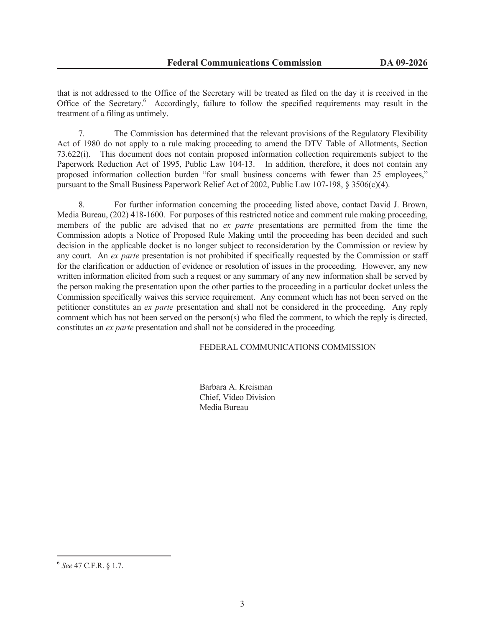that is not addressed to the Office of the Secretary will be treated as filed on the day it is received in the Office of the Secretary.<sup>6</sup> Accordingly, failure to follow the specified requirements may result in the treatment of a filing as untimely.

7. The Commission has determined that the relevant provisions of the Regulatory Flexibility Act of 1980 do not apply to a rule making proceeding to amend the DTV Table of Allotments, Section 73.622(i). This document does not contain proposed information collection requirements subject to the Paperwork Reduction Act of 1995, Public Law 104-13. In addition, therefore, it does not contain any proposed information collection burden "for small business concerns with fewer than 25 employees," pursuant to the Small Business Paperwork Relief Act of 2002, Public Law 107-198, § 3506(c)(4).

8. For further information concerning the proceeding listed above, contact David J. Brown, Media Bureau, (202) 418-1600. For purposes of this restricted notice and comment rule making proceeding, members of the public are advised that no *ex parte* presentations are permitted from the time the Commission adopts a Notice of Proposed Rule Making until the proceeding has been decided and such decision in the applicable docket is no longer subject to reconsideration by the Commission or review by any court. An *ex parte* presentation is not prohibited if specifically requested by the Commission or staff for the clarification or adduction of evidence or resolution of issues in the proceeding. However, any new written information elicited from such a request or any summary of any new information shall be served by the person making the presentation upon the other parties to the proceeding in a particular docket unless the Commission specifically waives this service requirement. Any comment which has not been served on the petitioner constitutes an *ex parte* presentation and shall not be considered in the proceeding. Any reply comment which has not been served on the person(s) who filed the comment, to which the reply is directed, constitutes an *ex parte* presentation and shall not be considered in the proceeding.

### FEDERAL COMMUNICATIONS COMMISSION

Barbara A. Kreisman Chief, Video Division Media Bureau

<sup>6</sup> *See* 47 C.F.R. § 1.7.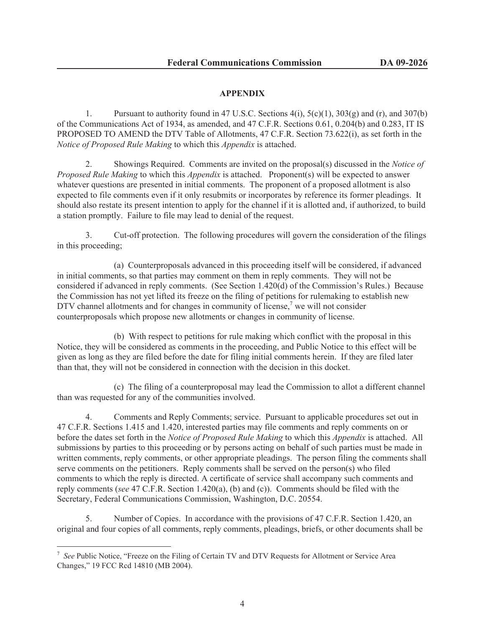# **APPENDIX**

1. Pursuant to authority found in 47 U.S.C. Sections  $4(i)$ ,  $5(c)(1)$ ,  $303(g)$  and  $(r)$ , and  $307(b)$ of the Communications Act of 1934, as amended, and 47 C.F.R. Sections 0.61, 0.204(b) and 0.283, IT IS PROPOSED TO AMEND the DTV Table of Allotments, 47 C.F.R. Section 73.622(i), as set forth in the *Notice of Proposed Rule Making* to which this *Appendix* is attached.

2. Showings Required. Comments are invited on the proposal(s) discussed in the *Notice of Proposed Rule Making* to which this *Appendix* is attached. Proponent(s) will be expected to answer whatever questions are presented in initial comments. The proponent of a proposed allotment is also expected to file comments even if it only resubmits or incorporates by reference its former pleadings. It should also restate its present intention to apply for the channel if it is allotted and, if authorized, to build a station promptly. Failure to file may lead to denial of the request.

3. Cut-off protection. The following procedures will govern the consideration of the filings in this proceeding;

(a) Counterproposals advanced in this proceeding itself will be considered, if advanced in initial comments, so that parties may comment on them in reply comments. They will not be considered if advanced in reply comments. (See Section 1.420(d) of the Commission's Rules.) Because the Commission has not yet lifted its freeze on the filing of petitions for rulemaking to establish new DTV channel allotments and for changes in community of license,<sup>7</sup> we will not consider counterproposals which propose new allotments or changes in community of license.

(b) With respect to petitions for rule making which conflict with the proposal in this Notice, they will be considered as comments in the proceeding, and Public Notice to this effect will be given as long as they are filed before the date for filing initial comments herein. If they are filed later than that, they will not be considered in connection with the decision in this docket.

(c) The filing of a counterproposal may lead the Commission to allot a different channel than was requested for any of the communities involved.

4. Comments and Reply Comments; service. Pursuant to applicable procedures set out in 47 C.F.R. Sections 1.415 and 1.420, interested parties may file comments and reply comments on or before the dates set forth in the *Notice of Proposed Rule Making* to which this *Appendix* is attached. All submissions by parties to this proceeding or by persons acting on behalf of such parties must be made in written comments, reply comments, or other appropriate pleadings. The person filing the comments shall serve comments on the petitioners. Reply comments shall be served on the person(s) who filed comments to which the reply is directed. A certificate of service shall accompany such comments and reply comments (*see* 47 C.F.R. Section 1.420(a), (b) and (c)). Comments should be filed with the Secretary, Federal Communications Commission, Washington, D.C. 20554.

5. Number of Copies. In accordance with the provisions of 47 C.F.R. Section 1.420, an original and four copies of all comments, reply comments, pleadings, briefs, or other documents shall be

<sup>&</sup>lt;sup>7</sup> See Public Notice, "Freeze on the Filing of Certain TV and DTV Requests for Allotment or Service Area Changes," 19 FCC Rcd 14810 (MB 2004).